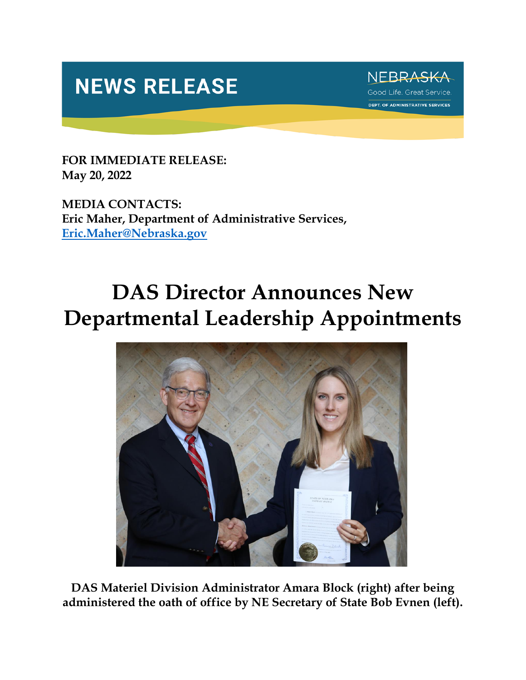## **NEWS RELEASE**



**FOR IMMEDIATE RELEASE: May 20, 2022**

**MEDIA CONTACTS: Eric Maher, Department of Administrative Services, [Eric.Maher@Nebraska.gov](mailto:Eric.Maher@Nebraska.gov)**

## **DAS Director Announces New Departmental Leadership Appointments**



**DAS Materiel Division Administrator Amara Block (right) after being administered the oath of office by NE Secretary of State Bob Evnen (left).**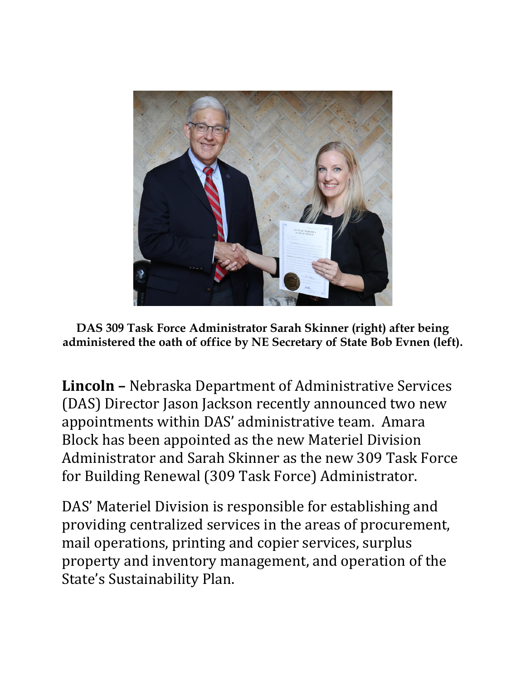

**DAS 309 Task Force Administrator Sarah Skinner (right) after being administered the oath of office by NE Secretary of State Bob Evnen (left).**

**Lincoln –** Nebraska Department of Administrative Services (DAS) Director Jason Jackson recently announced two new appointments within DAS' administrative team. Amara Block has been appointed as the new Materiel Division Administrator and Sarah Skinner as the new 309 Task Force for Building Renewal (309 Task Force) Administrator.

DAS' Materiel Division is responsible for establishing and providing centralized services in the areas of procurement, mail operations, printing and copier services, surplus property and inventory management, and operation of the State's Sustainability Plan.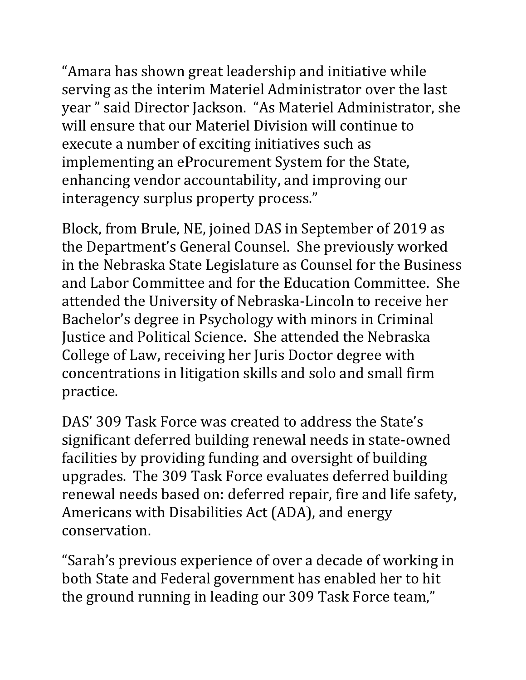"Amara has shown great leadership and initiative while serving as the interim Materiel Administrator over the last year " said Director Jackson. "As Materiel Administrator, she will ensure that our Materiel Division will continue to execute a number of exciting initiatives such as implementing an eProcurement System for the State, enhancing vendor accountability, and improving our interagency surplus property process."

Block, from Brule, NE, joined DAS in September of 2019 as the Department's General Counsel. She previously worked in the Nebraska State Legislature as Counsel for the Business and Labor Committee and for the Education Committee. She attended the University of Nebraska-Lincoln to receive her Bachelor's degree in Psychology with minors in Criminal Justice and Political Science. She attended the Nebraska College of Law, receiving her Juris Doctor degree with concentrations in litigation skills and solo and small firm practice.

DAS' 309 Task Force was created to address the State's significant deferred building renewal needs in state-owned facilities by providing funding and oversight of building upgrades. The 309 Task Force evaluates deferred building renewal needs based on: deferred repair, fire and life safety, Americans with Disabilities Act (ADA), and energy conservation.

"Sarah's previous experience of over a decade of working in both State and Federal government has enabled her to hit the ground running in leading our 309 Task Force team,"